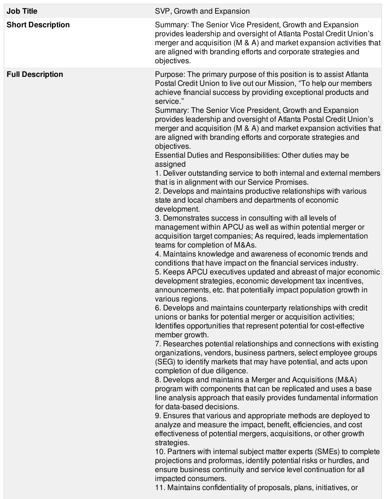| <b>Job Title</b>         | SVP, Growth and Expansion                                                                                                                                                                                                                                                                                                                                                                                                                                                                                                                                                                                                                                                                                                                                                                                                                                                                                                                                                                                                                                                                                                                                                                                                                                                                                                                                                                                                                                                                                                                                                                                                                                                                                                                                                                                                                                                                                                                                                                                                                                                                                                                                                                                                                                                                                                                                                                                                                                                                                                                                                                                                                              |
|--------------------------|--------------------------------------------------------------------------------------------------------------------------------------------------------------------------------------------------------------------------------------------------------------------------------------------------------------------------------------------------------------------------------------------------------------------------------------------------------------------------------------------------------------------------------------------------------------------------------------------------------------------------------------------------------------------------------------------------------------------------------------------------------------------------------------------------------------------------------------------------------------------------------------------------------------------------------------------------------------------------------------------------------------------------------------------------------------------------------------------------------------------------------------------------------------------------------------------------------------------------------------------------------------------------------------------------------------------------------------------------------------------------------------------------------------------------------------------------------------------------------------------------------------------------------------------------------------------------------------------------------------------------------------------------------------------------------------------------------------------------------------------------------------------------------------------------------------------------------------------------------------------------------------------------------------------------------------------------------------------------------------------------------------------------------------------------------------------------------------------------------------------------------------------------------------------------------------------------------------------------------------------------------------------------------------------------------------------------------------------------------------------------------------------------------------------------------------------------------------------------------------------------------------------------------------------------------------------------------------------------------------------------------------------------------|
| <b>Short Description</b> | Summary: The Senior Vice President, Growth and Expansion<br>provides leadership and oversight of Atlanta Postal Credit Union's<br>merger and acquisition (M & A) and market expansion activities that<br>are aligned with branding efforts and corporate strategies and<br>objectives.                                                                                                                                                                                                                                                                                                                                                                                                                                                                                                                                                                                                                                                                                                                                                                                                                                                                                                                                                                                                                                                                                                                                                                                                                                                                                                                                                                                                                                                                                                                                                                                                                                                                                                                                                                                                                                                                                                                                                                                                                                                                                                                                                                                                                                                                                                                                                                 |
| <b>Full Description</b>  | Purpose: The primary purpose of this position is to assist Atlanta<br>Postal Credit Union to live out our Mission, "To help our members<br>achieve financial success by providing exceptional products and<br>service."<br>Summary: The Senior Vice President, Growth and Expansion<br>provides leadership and oversight of Atlanta Postal Credit Union's<br>merger and acquisition (M & A) and market expansion activities that<br>are aligned with branding efforts and corporate strategies and<br>objectives.<br>Essential Duties and Responsibilities: Other duties may be<br>assigned<br>1. Deliver outstanding service to both internal and external members<br>that is in alignment with our Service Promises.<br>2. Develops and maintains productive relationships with various<br>state and local chambers and departments of economic<br>development.<br>3. Demonstrates success in consulting with all levels of<br>management within APCU as well as within potential merger or<br>acquisition target companies; As required, leads implementation<br>teams for completion of M&As.<br>4. Maintains knowledge and awareness of economic trends and<br>conditions that have impact on the financial services industry.<br>5. Keeps APCU executives updated and abreast of major economic<br>development strategies, economic development tax incentives,<br>announcements, etc. that potentially impact population growth in<br>various regions.<br>6. Develops and maintains counterparty relationships with credit<br>unions or banks for potential merger or acquisition activities;<br>Identifies opportunities that represent potential for cost-effective<br>member growth.<br>7. Researches potential relationships and connections with existing<br>organizations, vendors, business partners, select employee groups<br>(SEG) to identify markets that may have potential, and acts upon<br>completion of due diligence.<br>8. Develops and maintains a Merger and Acquisitions (M&A)<br>program with components that can be replicated and uses a base<br>line analysis approach that easily provides fundamental information<br>for data-based decisions.<br>9. Ensures that various and appropriate methods are deployed to<br>analyze and measure the impact, benefit, efficiencies, and cost<br>effectiveness of potential mergers, acquisitions, or other growth<br>strategies.<br>10. Partners with internal subject matter experts (SMEs) to complete<br>projections and proformas, identify potential risks or hurdles, and<br>ensure business continuity and service level continuation for all<br>impacted consumers. |

11. Maintains confidentiality of proposals, plans, initiatives, or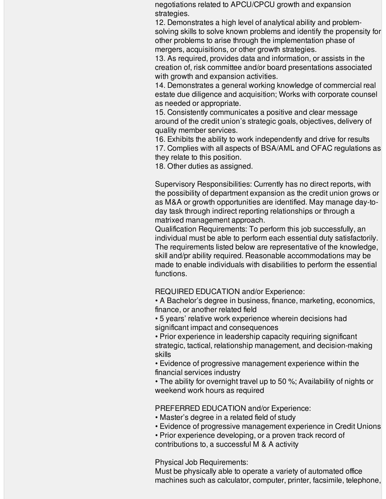negotiations related to APCU/CPCU growth and expansion strategies.

12. Demonstrates a high level of analytical ability and problemsolving skills to solve known problems and identify the propensity for other problems to arise through the implementation phase of mergers, acquisitions, or other growth strategies.

13. As required, provides data and information, or assists in the creation of, risk committee and/or board presentations associated with growth and expansion activities.

14. Demonstrates a general working knowledge of commercial real estate due diligence and acquisition; Works with corporate counsel as needed or appropriate.

15. Consistently communicates a positive and clear message around of the credit union's strategic goals, objectives, delivery of quality member services.

16. Exhibits the ability to work independently and drive for results 17. Complies with all aspects of BSA/AML and OFAC regulations as they relate to this position.

18. Other duties as assigned.

Supervisory Responsibilities: Currently has no direct reports, with the possibility of department expansion as the credit union grows or as M&A or growth opportunities are identified. May manage day-today task through indirect reporting relationships or through a matrixed management approach.

Qualification Requirements: To perform this job successfully, an individual must be able to perform each essential duty satisfactorily. The requirements listed below are representative of the knowledge, skill and/pr ability required. Reasonable accommodations may be made to enable individuals with disabilities to perform the essential functions.

REQUIRED EDUCATION and/or Experience:

• A Bachelor's degree in business, finance, marketing, economics, finance, or another related field

• 5 years' relative work experience wherein decisions had significant impact and consequences

• Prior experience in leadership capacity requiring significant strategic, tactical, relationship management, and decision-making skills

• Evidence of progressive management experience within the financial services industry

• The ability for overnight travel up to 50 %; Availability of nights or weekend work hours as required

PREFERRED EDUCATION and/or Experience:

- Master's degree in a related field of study
- Evidence of progressive management experience in Credit Unions
- Prior experience developing, or a proven track record of contributions to, a successful M & A activity

Physical Job Requirements:

Must be physically able to operate a variety of automated office machines such as calculator, computer, printer, facsimile, telephone,